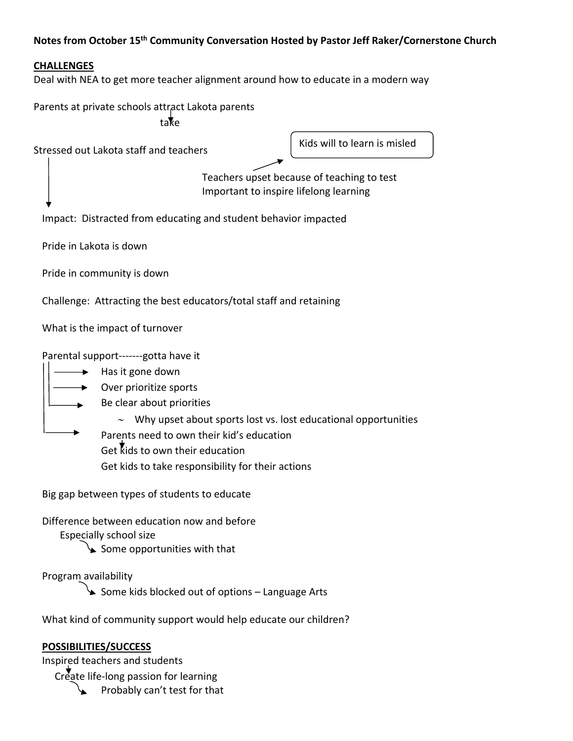# **Notes from October 15th Community Conversation Hosted by Pastor Jeff Raker/Cornerstone Church**

# **CHALLENGES**

Deal with NEA to get more teacher alignment around how to educate in a modern way

Parents at private schools attract Lakota parents take

Stressed out Lakota staff and teachers

Kids will to learn is misled

 Teachers upset because of teaching to test Important to inspire lifelong learning

Impact: Distracted from educating and student behavior impacted

Pride in Lakota is down

Pride in community is down

Challenge: Attracting the best educators/total staff and retaining

What is the impact of turnover

Parental support-------gotta have it

- Has it gone down Over prioritize sports
	- Be clear about priorities
		- $\sim$  Why upset about sports lost vs. lost educational opportunities

Parents need to own their kid's education Get kids to own their education

Get kids to take responsibility for their actions

Big gap between types of students to educate

Difference between education now and before

Especially school size

 $\searrow$  Some opportunities with that

Program availability

Some kids blocked out of options - Language Arts

What kind of community support would help educate our children?

#### **POSSIBILITIES/SUCCESS**

Inspired teachers and students

Create life-long passion for learning

Probably can't test for that